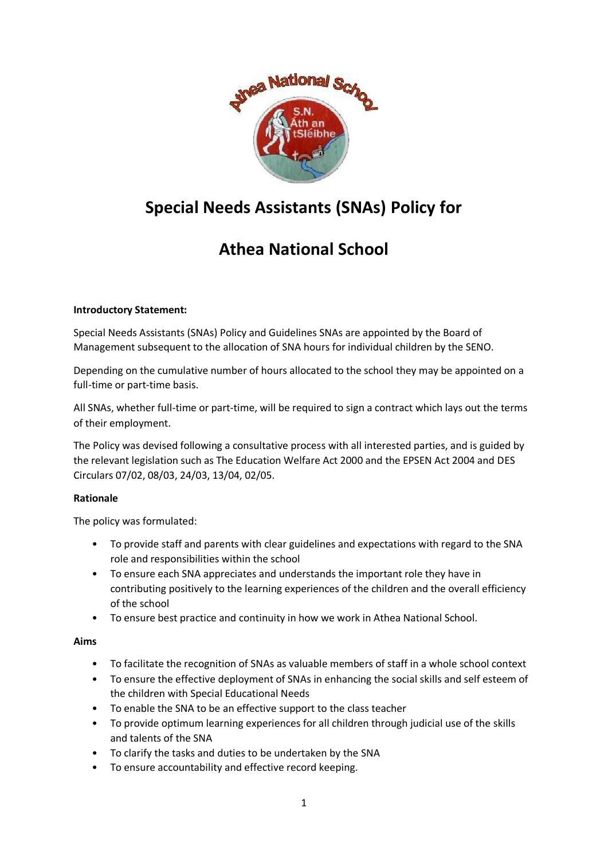

# **Special Needs Assistants (SNAs) Policy for**

# **Athea National School**

# **Introductory Statement:**

Special Needs Assistants (SNAs) Policy and Guidelines SNAs are appointed by the Board of Management subsequent to the allocation of SNA hours for individual children by the SENO.

Depending on the cumulative number of hours allocated to the school they may be appointed on a full-time or part-time basis.

All SNAs, whether full-time or part-time, will be required to sign a contract which lays out the terms of their employment.

The Policy was devised following a consultative process with all interested parties, and is guided by the relevant legislation such as The Education Welfare Act 2000 and the EPSEN Act 2004 and DES Circulars 07/02, 08/03, 24/03, 13/04, 02/05.

# **Rationale**

The policy was formulated:

- To provide staff and parents with clear guidelines and expectations with regard to the SNA role and responsibilities within the school
- To ensure each SNA appreciates and understands the important role they have in contributing positively to the learning experiences of the children and the overall efficiency of the school
- To ensure best practice and continuity in how we work in Athea National School.

# **Aims**

- To facilitate the recognition of SNAs as valuable members of staff in a whole school context
- To ensure the effective deployment of SNAs in enhancing the social skills and self esteem of the children with Special Educational Needs
- To enable the SNA to be an effective support to the class teacher
- To provide optimum learning experiences for all children through judicial use of the skills and talents of the SNA
- To clarify the tasks and duties to be undertaken by the SNA
- To ensure accountability and effective record keeping.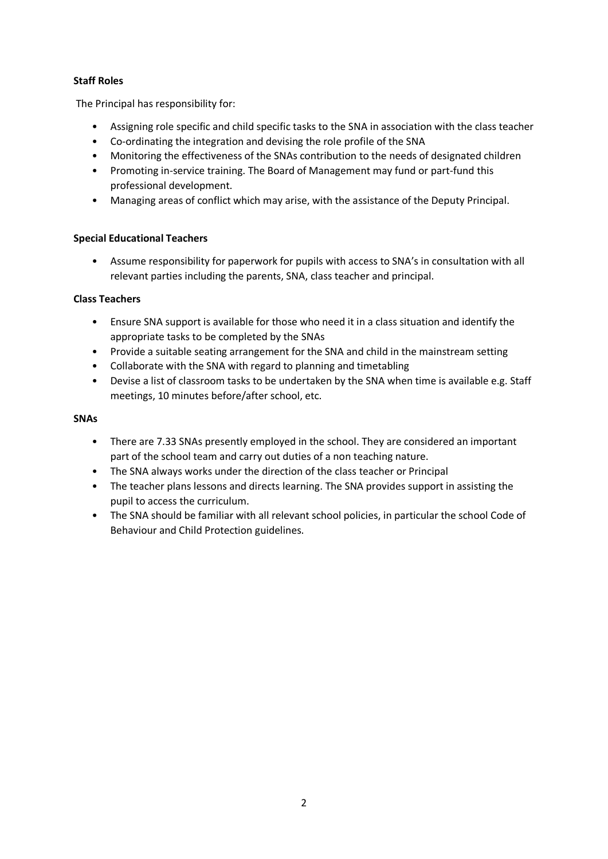# **Staff Roles**

The Principal has responsibility for:

- Assigning role specific and child specific tasks to the SNA in association with the class teacher
- Co-ordinating the integration and devising the role profile of the SNA
- Monitoring the effectiveness of the SNAs contribution to the needs of designated children
- Promoting in-service training. The Board of Management may fund or part-fund this professional development.
- Managing areas of conflict which may arise, with the assistance of the Deputy Principal.

# **Special Educational Teachers**

• Assume responsibility for paperwork for pupils with access to SNA's in consultation with all relevant parties including the parents, SNA, class teacher and principal.

#### **Class Teachers**

- Ensure SNA support is available for those who need it in a class situation and identify the appropriate tasks to be completed by the SNAs
- Provide a suitable seating arrangement for the SNA and child in the mainstream setting
- Collaborate with the SNA with regard to planning and timetabling
- Devise a list of classroom tasks to be undertaken by the SNA when time is available e.g. Staff meetings, 10 minutes before/after school, etc.

#### **SNAs**

- There are 7.33 SNAs presently employed in the school. They are considered an important part of the school team and carry out duties of a non teaching nature.
- The SNA always works under the direction of the class teacher or Principal
- The teacher plans lessons and directs learning. The SNA provides support in assisting the pupil to access the curriculum.
- The SNA should be familiar with all relevant school policies, in particular the school Code of Behaviour and Child Protection guidelines.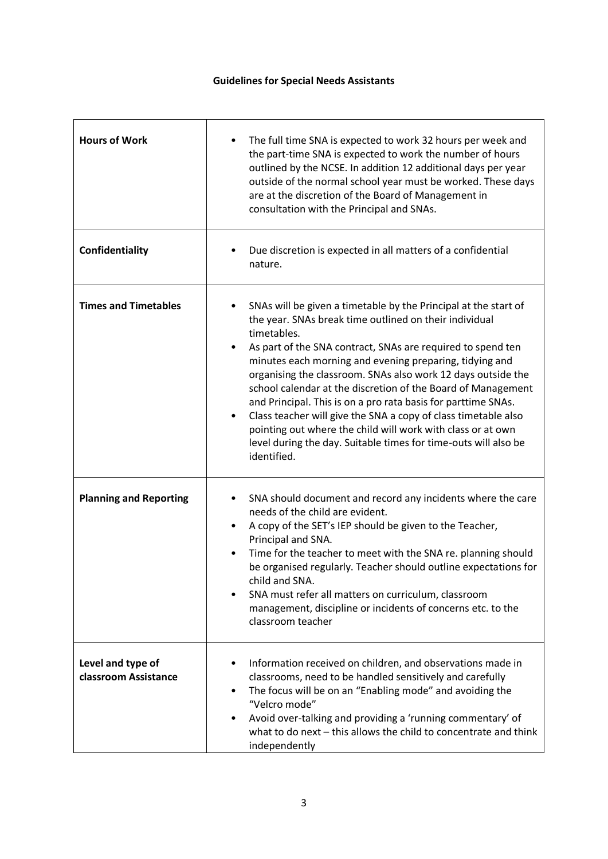# **Guidelines for Special Needs Assistants**

| <b>Hours of Work</b>                      | The full time SNA is expected to work 32 hours per week and<br>$\bullet$<br>the part-time SNA is expected to work the number of hours<br>outlined by the NCSE. In addition 12 additional days per year<br>outside of the normal school year must be worked. These days<br>are at the discretion of the Board of Management in<br>consultation with the Principal and SNAs.                                                                                                                                                                                                                                                                                                                                       |
|-------------------------------------------|------------------------------------------------------------------------------------------------------------------------------------------------------------------------------------------------------------------------------------------------------------------------------------------------------------------------------------------------------------------------------------------------------------------------------------------------------------------------------------------------------------------------------------------------------------------------------------------------------------------------------------------------------------------------------------------------------------------|
| Confidentiality                           | Due discretion is expected in all matters of a confidential<br>$\bullet$<br>nature.                                                                                                                                                                                                                                                                                                                                                                                                                                                                                                                                                                                                                              |
| <b>Times and Timetables</b>               | SNAs will be given a timetable by the Principal at the start of<br>the year. SNAs break time outlined on their individual<br>timetables.<br>As part of the SNA contract, SNAs are required to spend ten<br>$\bullet$<br>minutes each morning and evening preparing, tidying and<br>organising the classroom. SNAs also work 12 days outside the<br>school calendar at the discretion of the Board of Management<br>and Principal. This is on a pro rata basis for parttime SNAs.<br>Class teacher will give the SNA a copy of class timetable also<br>$\bullet$<br>pointing out where the child will work with class or at own<br>level during the day. Suitable times for time-outs will also be<br>identified. |
| <b>Planning and Reporting</b>             | SNA should document and record any incidents where the care<br>needs of the child are evident.<br>A copy of the SET's IEP should be given to the Teacher,<br>$\bullet$<br>Principal and SNA.<br>Time for the teacher to meet with the SNA re. planning should<br>be organised regularly. Teacher should outline expectations for<br>child and SNA.<br>SNA must refer all matters on curriculum, classroom<br>management, discipline or incidents of concerns etc. to the<br>classroom teacher                                                                                                                                                                                                                    |
| Level and type of<br>classroom Assistance | Information received on children, and observations made in<br>classrooms, need to be handled sensitively and carefully<br>The focus will be on an "Enabling mode" and avoiding the<br>"Velcro mode"<br>Avoid over-talking and providing a 'running commentary' of<br>what to do next - this allows the child to concentrate and think<br>independently                                                                                                                                                                                                                                                                                                                                                           |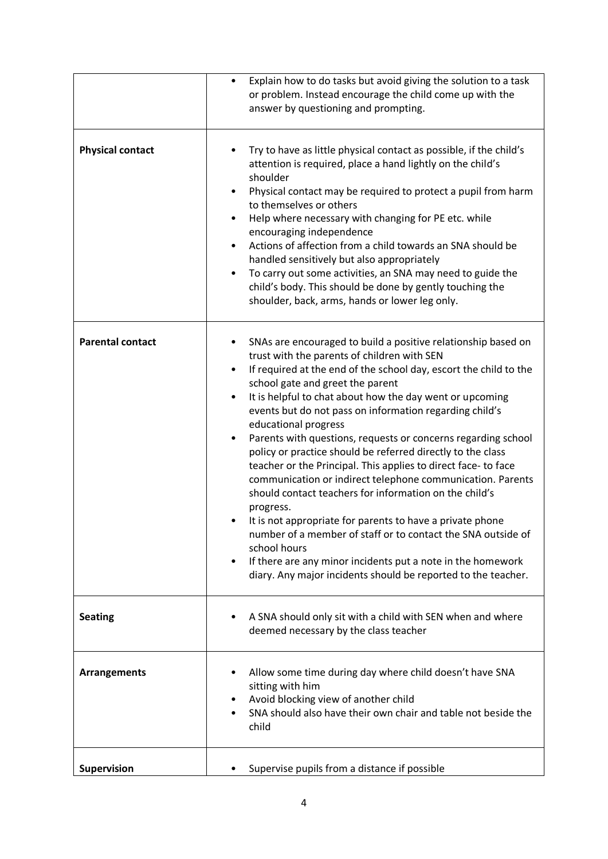|                         | Explain how to do tasks but avoid giving the solution to a task<br>or problem. Instead encourage the child come up with the<br>answer by questioning and prompting.                                                                                                                                                                                                                                                                                                                                                                                                                                                                                                                                                                                                                                                                                                                                                                                                                                                |
|-------------------------|--------------------------------------------------------------------------------------------------------------------------------------------------------------------------------------------------------------------------------------------------------------------------------------------------------------------------------------------------------------------------------------------------------------------------------------------------------------------------------------------------------------------------------------------------------------------------------------------------------------------------------------------------------------------------------------------------------------------------------------------------------------------------------------------------------------------------------------------------------------------------------------------------------------------------------------------------------------------------------------------------------------------|
| <b>Physical contact</b> | Try to have as little physical contact as possible, if the child's<br>attention is required, place a hand lightly on the child's<br>shoulder<br>Physical contact may be required to protect a pupil from harm<br>to themselves or others<br>Help where necessary with changing for PE etc. while<br>٠<br>encouraging independence<br>Actions of affection from a child towards an SNA should be<br>handled sensitively but also appropriately<br>To carry out some activities, an SNA may need to guide the<br>child's body. This should be done by gently touching the<br>shoulder, back, arms, hands or lower leg only.                                                                                                                                                                                                                                                                                                                                                                                          |
| <b>Parental contact</b> | SNAs are encouraged to build a positive relationship based on<br>trust with the parents of children with SEN<br>If required at the end of the school day, escort the child to the<br>school gate and greet the parent<br>It is helpful to chat about how the day went or upcoming<br>$\bullet$<br>events but do not pass on information regarding child's<br>educational progress<br>Parents with questions, requests or concerns regarding school<br>policy or practice should be referred directly to the class<br>teacher or the Principal. This applies to direct face- to face<br>communication or indirect telephone communication. Parents<br>should contact teachers for information on the child's<br>progress.<br>It is not appropriate for parents to have a private phone<br>number of a member of staff or to contact the SNA outside of<br>school hours<br>If there are any minor incidents put a note in the homework<br>$\bullet$<br>diary. Any major incidents should be reported to the teacher. |
| <b>Seating</b>          | A SNA should only sit with a child with SEN when and where<br>deemed necessary by the class teacher                                                                                                                                                                                                                                                                                                                                                                                                                                                                                                                                                                                                                                                                                                                                                                                                                                                                                                                |
| <b>Arrangements</b>     | Allow some time during day where child doesn't have SNA<br>sitting with him<br>Avoid blocking view of another child<br>SNA should also have their own chair and table not beside the<br>child                                                                                                                                                                                                                                                                                                                                                                                                                                                                                                                                                                                                                                                                                                                                                                                                                      |
| Supervision             | Supervise pupils from a distance if possible                                                                                                                                                                                                                                                                                                                                                                                                                                                                                                                                                                                                                                                                                                                                                                                                                                                                                                                                                                       |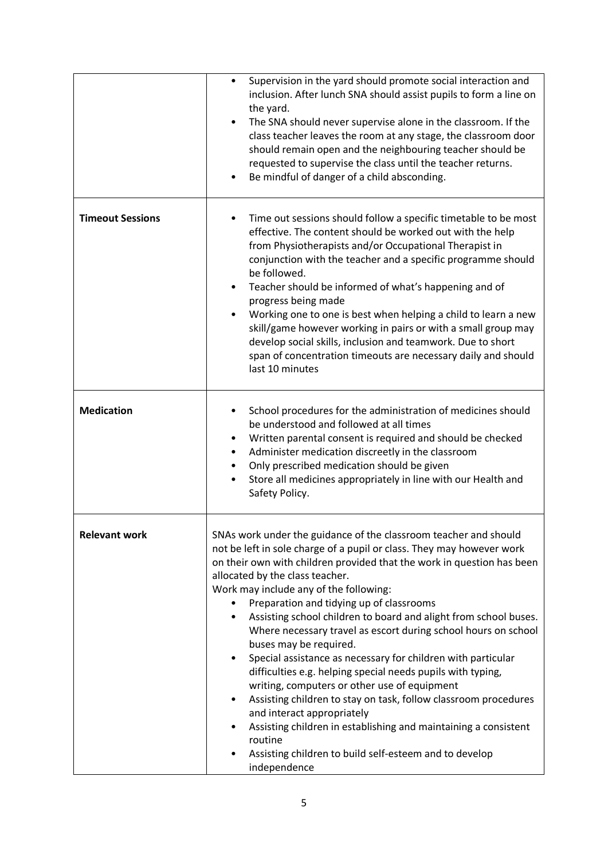|                         | Supervision in the yard should promote social interaction and<br>٠<br>inclusion. After lunch SNA should assist pupils to form a line on<br>the yard.<br>The SNA should never supervise alone in the classroom. If the<br>class teacher leaves the room at any stage, the classroom door<br>should remain open and the neighbouring teacher should be<br>requested to supervise the class until the teacher returns.<br>Be mindful of danger of a child absconding.                                                                                                                                                                                                                                                                                                                                                                                                                                                                                                          |
|-------------------------|-----------------------------------------------------------------------------------------------------------------------------------------------------------------------------------------------------------------------------------------------------------------------------------------------------------------------------------------------------------------------------------------------------------------------------------------------------------------------------------------------------------------------------------------------------------------------------------------------------------------------------------------------------------------------------------------------------------------------------------------------------------------------------------------------------------------------------------------------------------------------------------------------------------------------------------------------------------------------------|
| <b>Timeout Sessions</b> | Time out sessions should follow a specific timetable to be most<br>effective. The content should be worked out with the help<br>from Physiotherapists and/or Occupational Therapist in<br>conjunction with the teacher and a specific programme should<br>be followed.<br>Teacher should be informed of what's happening and of<br>$\bullet$<br>progress being made<br>Working one to one is best when helping a child to learn a new<br>$\bullet$<br>skill/game however working in pairs or with a small group may<br>develop social skills, inclusion and teamwork. Due to short<br>span of concentration timeouts are necessary daily and should<br>last 10 minutes                                                                                                                                                                                                                                                                                                      |
| <b>Medication</b>       | School procedures for the administration of medicines should<br>be understood and followed at all times<br>Written parental consent is required and should be checked<br>Administer medication discreetly in the classroom<br>$\bullet$<br>Only prescribed medication should be given<br>Store all medicines appropriately in line with our Health and<br>$\bullet$<br>Safety Policy.                                                                                                                                                                                                                                                                                                                                                                                                                                                                                                                                                                                       |
| <b>Relevant work</b>    | SNAs work under the guidance of the classroom teacher and should<br>not be left in sole charge of a pupil or class. They may however work<br>on their own with children provided that the work in question has been<br>allocated by the class teacher.<br>Work may include any of the following:<br>Preparation and tidying up of classrooms<br>Assisting school children to board and alight from school buses.<br>٠<br>Where necessary travel as escort during school hours on school<br>buses may be required.<br>Special assistance as necessary for children with particular<br>٠<br>difficulties e.g. helping special needs pupils with typing,<br>writing, computers or other use of equipment<br>Assisting children to stay on task, follow classroom procedures<br>$\bullet$<br>and interact appropriately<br>Assisting children in establishing and maintaining a consistent<br>routine<br>Assisting children to build self-esteem and to develop<br>independence |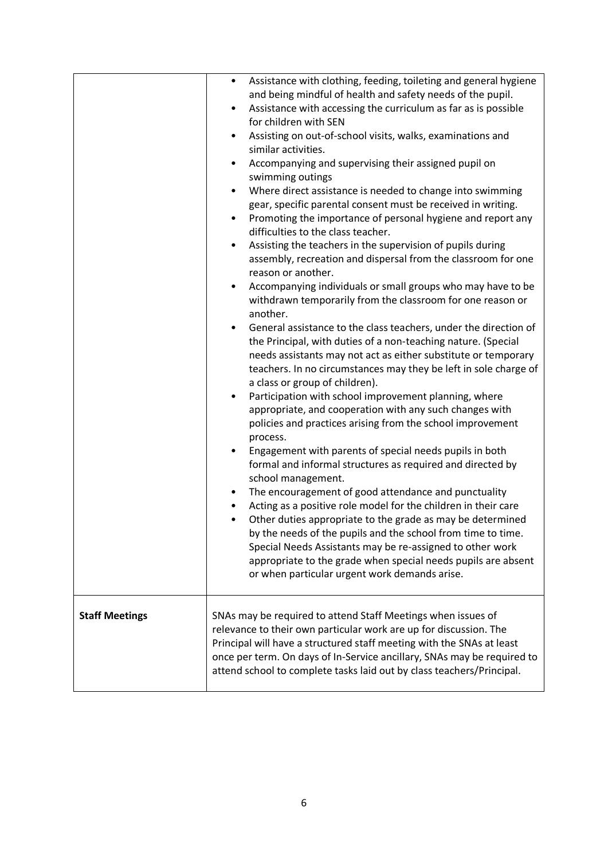|                       | $\bullet$<br>٠<br>٠<br>٠<br>٠<br>٠<br>٠ | Assistance with clothing, feeding, toileting and general hygiene<br>and being mindful of health and safety needs of the pupil.<br>Assistance with accessing the curriculum as far as is possible<br>for children with SEN<br>Assisting on out-of-school visits, walks, examinations and<br>similar activities.<br>Accompanying and supervising their assigned pupil on<br>swimming outings<br>Where direct assistance is needed to change into swimming<br>gear, specific parental consent must be received in writing.<br>Promoting the importance of personal hygiene and report any<br>difficulties to the class teacher.<br>Assisting the teachers in the supervision of pupils during<br>assembly, recreation and dispersal from the classroom for one<br>reason or another.<br>Accompanying individuals or small groups who may have to be<br>withdrawn temporarily from the classroom for one reason or<br>another.<br>General assistance to the class teachers, under the direction of<br>the Principal, with duties of a non-teaching nature. (Special<br>needs assistants may not act as either substitute or temporary<br>teachers. In no circumstances may they be left in sole charge of<br>a class or group of children).<br>Participation with school improvement planning, where<br>appropriate, and cooperation with any such changes with<br>policies and practices arising from the school improvement<br>process.<br>Engagement with parents of special needs pupils in both<br>formal and informal structures as required and directed by<br>school management.<br>The encouragement of good attendance and punctuality<br>Acting as a positive role model for the children in their care<br>Other duties appropriate to the grade as may be determined<br>by the needs of the pupils and the school from time to time.<br>Special Needs Assistants may be re-assigned to other work<br>appropriate to the grade when special needs pupils are absent<br>or when particular urgent work demands arise. |
|-----------------------|-----------------------------------------|-----------------------------------------------------------------------------------------------------------------------------------------------------------------------------------------------------------------------------------------------------------------------------------------------------------------------------------------------------------------------------------------------------------------------------------------------------------------------------------------------------------------------------------------------------------------------------------------------------------------------------------------------------------------------------------------------------------------------------------------------------------------------------------------------------------------------------------------------------------------------------------------------------------------------------------------------------------------------------------------------------------------------------------------------------------------------------------------------------------------------------------------------------------------------------------------------------------------------------------------------------------------------------------------------------------------------------------------------------------------------------------------------------------------------------------------------------------------------------------------------------------------------------------------------------------------------------------------------------------------------------------------------------------------------------------------------------------------------------------------------------------------------------------------------------------------------------------------------------------------------------------------------------------------------------------------------------------------------------------------------------------------------------|
| <b>Staff Meetings</b> |                                         | SNAs may be required to attend Staff Meetings when issues of<br>relevance to their own particular work are up for discussion. The<br>Principal will have a structured staff meeting with the SNAs at least<br>once per term. On days of In-Service ancillary, SNAs may be required to<br>attend school to complete tasks laid out by class teachers/Principal.                                                                                                                                                                                                                                                                                                                                                                                                                                                                                                                                                                                                                                                                                                                                                                                                                                                                                                                                                                                                                                                                                                                                                                                                                                                                                                                                                                                                                                                                                                                                                                                                                                                              |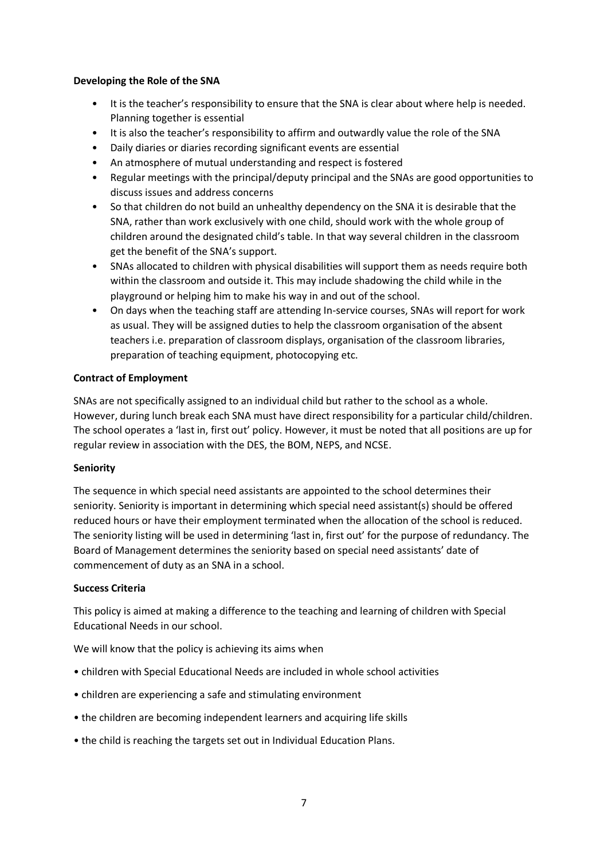#### **Developing the Role of the SNA**

- It is the teacher's responsibility to ensure that the SNA is clear about where help is needed. Planning together is essential
- It is also the teacher's responsibility to affirm and outwardly value the role of the SNA
- Daily diaries or diaries recording significant events are essential
- An atmosphere of mutual understanding and respect is fostered
- Regular meetings with the principal/deputy principal and the SNAs are good opportunities to discuss issues and address concerns
- So that children do not build an unhealthy dependency on the SNA it is desirable that the SNA, rather than work exclusively with one child, should work with the whole group of children around the designated child's table. In that way several children in the classroom get the benefit of the SNA's support.
- SNAs allocated to children with physical disabilities will support them as needs require both within the classroom and outside it. This may include shadowing the child while in the playground or helping him to make his way in and out of the school.
- On days when the teaching staff are attending In-service courses, SNAs will report for work as usual. They will be assigned duties to help the classroom organisation of the absent teachers i.e. preparation of classroom displays, organisation of the classroom libraries, preparation of teaching equipment, photocopying etc.

# **Contract of Employment**

SNAs are not specifically assigned to an individual child but rather to the school as a whole. However, during lunch break each SNA must have direct responsibility for a particular child/children. The school operates a 'last in, first out' policy. However, it must be noted that all positions are up for regular review in association with the DES, the BOM, NEPS, and NCSE.

#### **Seniority**

The sequence in which special need assistants are appointed to the school determines their seniority. Seniority is important in determining which special need assistant(s) should be offered reduced hours or have their employment terminated when the allocation of the school is reduced. The seniority listing will be used in determining 'last in, first out' for the purpose of redundancy. The Board of Management determines the seniority based on special need assistants' date of commencement of duty as an SNA in a school.

#### **Success Criteria**

This policy is aimed at making a difference to the teaching and learning of children with Special Educational Needs in our school.

We will know that the policy is achieving its aims when

- children with Special Educational Needs are included in whole school activities
- children are experiencing a safe and stimulating environment
- the children are becoming independent learners and acquiring life skills
- the child is reaching the targets set out in Individual Education Plans.